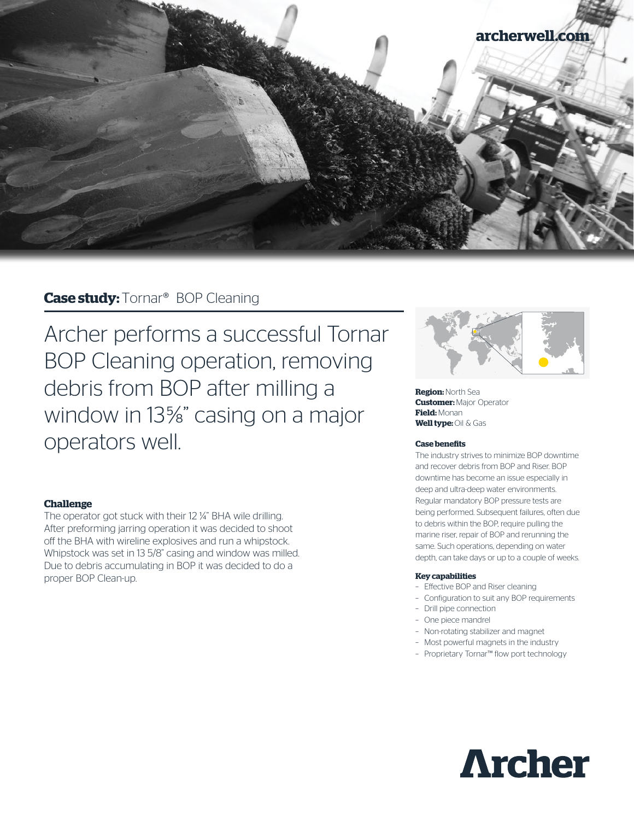

# **Case study:** Tornar® BOP Cleaning

Archer performs a successful Tornar BOP Cleaning operation, removing debris from BOP after milling a window in 13%" casing on a major operators well.

# **Challenge**

The operator got stuck with their 12 ¼" BHA wile drilling. After preforming jarring operation it was decided to shoot off the BHA with wireline explosives and run a whipstock. Whipstock was set in 13 5/8" casing and window was milled. Due to debris accumulating in BOP it was decided to do a proper BOP Clean-up.



**Region:** North Sea **Customer: Major Operator Field:** Monan **Well type:** Oil & Gas

#### **Case benefits**

The industry strives to minimize BOP downtime and recover debris from BOP and Riser. BOP downtime has become an issue especially in deep and ultra-deep water environments. Regular mandatory BOP pressure tests are being performed. Subsequent failures, often due to debris within the BOP, require pulling the marine riser, repair of BOP and rerunning the same. Such operations, depending on water depth, can take days or up to a couple of weeks.

#### **Key capabilities**

- Effective BOP and Riser cleaning
- Configuration to suit any BOP requirements
- Drill pipe connection
- One piece mandrel
- Non-rotating stabilizer and magnet
- Most powerful magnets in the industry
- Proprietary Tornar™ flow port technology